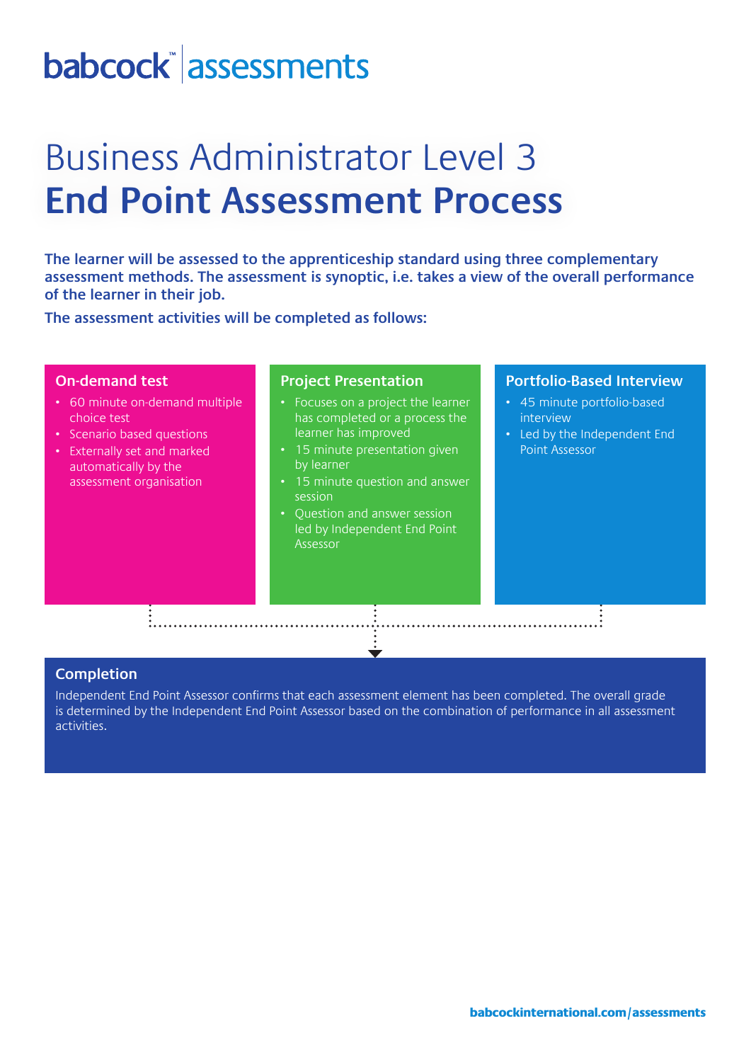## babcock assessments

## Business Administrator Level 3 **End Point Assessment Process**

**The learner will be assessed to the apprenticeship standard using three complementary assessment methods. The assessment is synoptic, i.e. takes a view of the overall performance of the learner in their job.** 

**The assessment activities will be completed as follows:**

#### **On-demand test**

- 60 minute on-demand multiple choice test
- Scenario based questions
- Externally set and marked automatically by the assessment organisation

#### **Project Presentation**

- Focuses on a project the learner has completed or a process the learner has improved
- 15 minute presentation given by learner
- 15 minute question and answer session
- Question and answer session led by Independent End Point Assessor

#### **Portfolio-Based Interview**

- 45 minute portfolio-based interview
- Led by the Independent End Point Assessor

#### **Completion**

Independent End Point Assessor confirms that each assessment element has been completed. The overall grade is determined by the Independent End Point Assessor based on the combination of performance in all assessment activities.